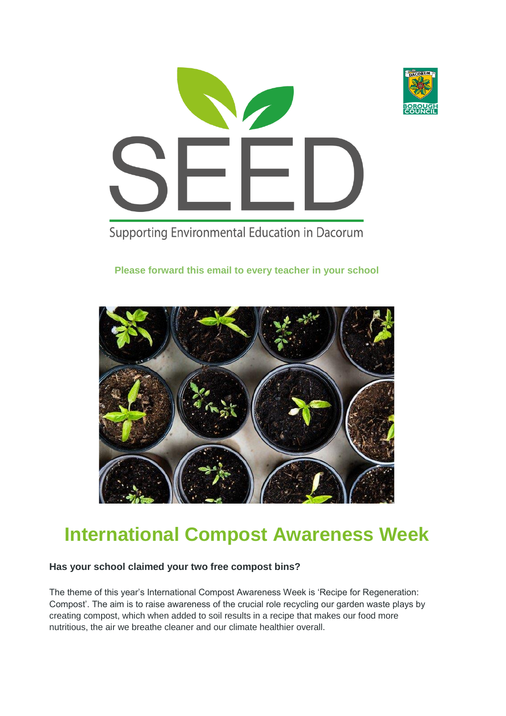

Supporting Environmental Education in Dacorum

### **Please forward this email to every teacher in your school**



### **International Compost Awareness Week**

#### **Has your school claimed your two free compost bins?**

The theme of this year's International Compost Awareness Week is 'Recipe for Regeneration: Compost'. The aim is to raise awareness of the crucial role recycling our garden waste plays by creating compost, which when added to soil results in a recipe that makes our food more nutritious, the air we breathe cleaner and our climate healthier overall.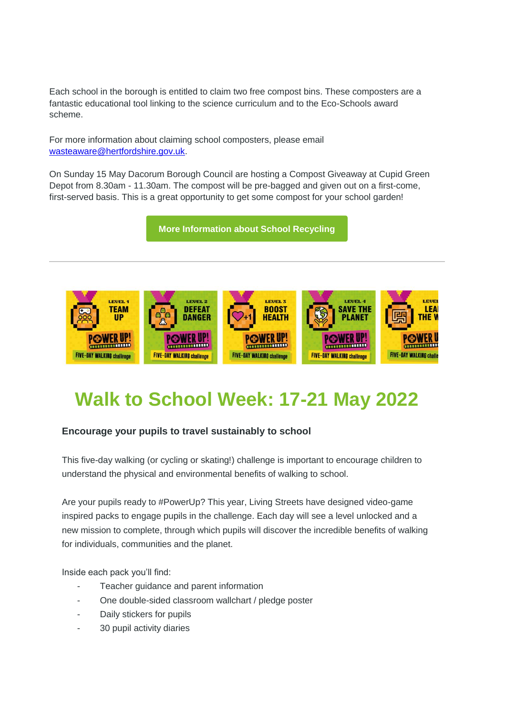Each school in the borough is entitled to claim two free compost bins. These composters are a fantastic educational tool linking to the science curriculum and to the Eco-Schools award scheme.

For more information about claiming school composters, please email [wasteaware@hertfordshire.gov.uk.](mailto:wasteaware@hertfordshire.gov.uk)

On Sunday 15 May Dacorum Borough Council are hosting a Compost Giveaway at Cupid Green Depot from 8.30am - 11.30am. The compost will be pre-bagged and given out on a first-come, first-served basis. This is a great opportunity to get some compost for your school garden!

**[More Information about School Recycling](https://dacorum-mail.co.uk/3QGJ-1FIAK-7FL2AF-Y3MJC-1/c.aspx)**



# **Walk to School Week: 17-21 May 2022**

#### **Encourage your pupils to travel sustainably to school**

This five-day walking (or cycling or skating!) challenge is important to encourage children to understand the physical and environmental benefits of walking to school.

Are your pupils ready to #PowerUp? This year, Living Streets have designed video-game inspired packs to engage pupils in the challenge. Each day will see a level unlocked and a new mission to complete, through which pupils will discover the incredible benefits of walking for individuals, communities and the planet.

Inside each pack you'll find:

- Teacher guidance and parent information
- One double-sided classroom wallchart / pledge poster
- Daily stickers for pupils
- 30 pupil activity diaries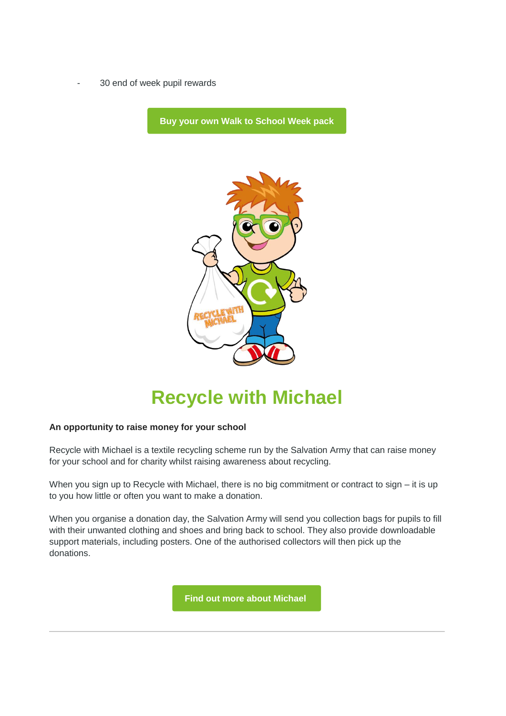30 end of week pupil rewards

**[Buy your own Walk to School Week pack](https://dacorum-mail.co.uk/3QGJ-1FIAK-7FL2AF-Y3PAV-1/c.aspx)** 



### **Recycle with Michael**

#### **An opportunity to raise money for your school**

Recycle with Michael is a textile recycling scheme run by the Salvation Army that can raise money for your school and for charity whilst raising awareness about recycling.

When you sign up to Recycle with Michael, there is no big commitment or contract to sign – it is up to you how little or often you want to make a donation.

When you organise a donation day, the Salvation Army will send you collection bags for pupils to fill with their unwanted clothing and shoes and bring back to school. They also provide downloadable support materials, including posters. One of the authorised collectors will then pick up the donations.

**[Find out more about Michael](https://dacorum-mail.co.uk/3QGJ-1FIAK-7FL2AF-Y3PAW-1/c.aspx)**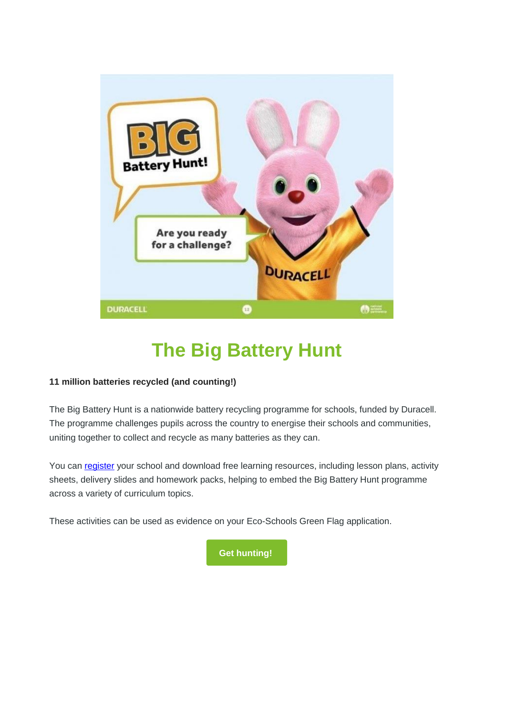

# **The Big Battery Hunt**

#### **11 million batteries recycled (and counting!)**

The Big Battery Hunt is a nationwide battery recycling programme for schools, funded by Duracell. The programme challenges pupils across the country to energise their schools and communities, uniting together to collect and recycle as many batteries as they can.

You can [register](https://dacorum-mail.co.uk/3QGJ-1FIAK-7FL2AF-Y3PAX-1/c.aspx) your school and download free learning resources, including lesson plans, activity sheets, delivery slides and homework packs, helping to embed the Big Battery Hunt programme across a variety of curriculum topics.

These activities can be used as evidence on your Eco-Schools Green Flag application.

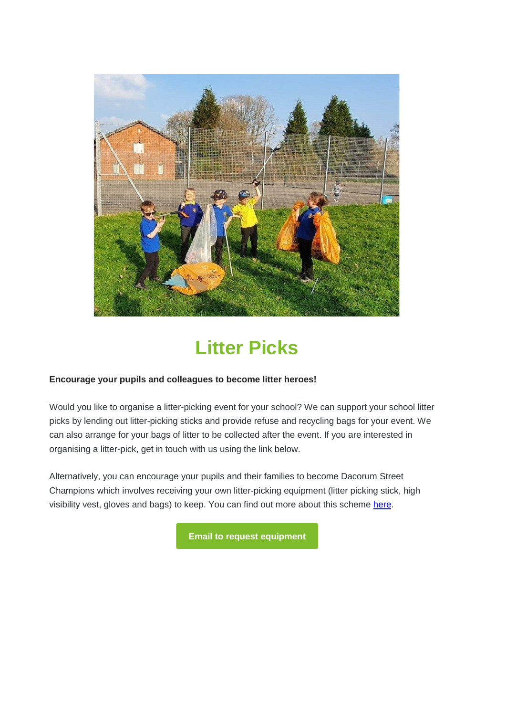

# **Litter Picks**

#### **Encourage your pupils and colleagues to become litter heroes!**

Would you like to organise a litter-picking event for your school? We can support your school litter picks by lending out litter-picking sticks and provide refuse and recycling bags for your event. We can also arrange for your bags of litter to be collected after the event. If you are interested in organising a litter-pick, get in touch with us using the link below.

Alternatively, you can encourage your pupils and their families to become Dacorum Street Champions which involves receiving your own litter-picking equipment (litter picking stick, high visibility vest, gloves and bags) to keep. You can find out more about this scheme [here.](https://dacorum-mail.co.uk/3QGJ-1FIAK-7FL2AF-Y3PAZ-1/c.aspx)

**Email to [request equipment](mailto:street.champions@dacorum.gov.uk?subject=Request%20to%20Litter%20Pick)**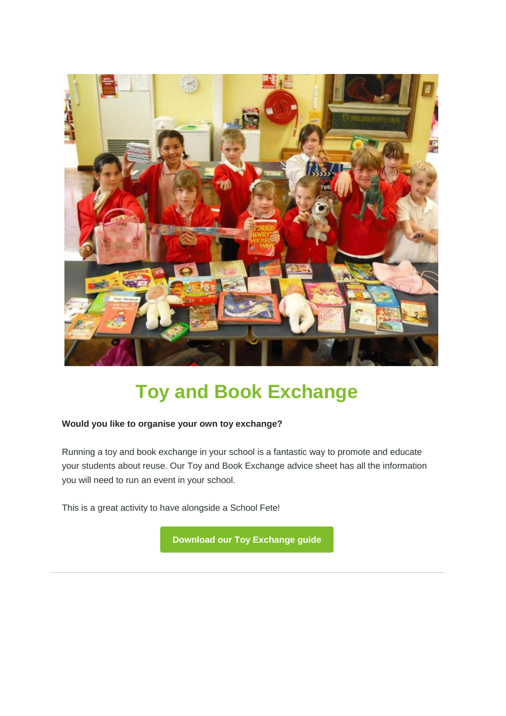

# **Toy and Book Exchange**

#### **Would you like to organise your own toy exchange?**

Running a toy and book exchange in your school is a fantastic way to promote and educate your students about reuse. Our Toy and Book Exchange advice sheet has all the information you will need to run an event in your school.

This is a great activity to have alongside a School Fete!

**[Download our Toy Exchange guide](https://dacorum-mail.co.uk/3QGJ-1FIAK-7FL2AF-Y3PB0-1/c.aspx)**